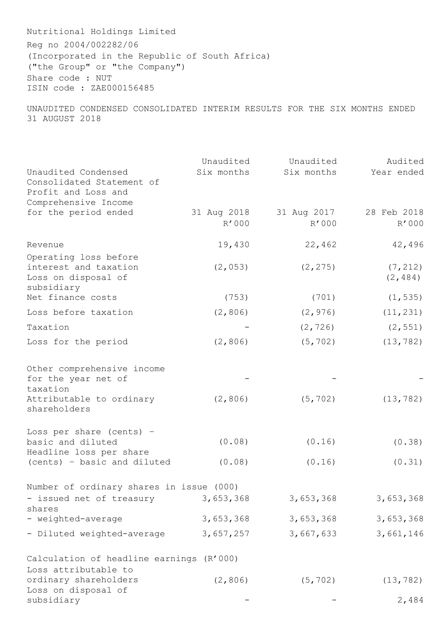Nutritional Holdings Limited Reg no 2004/002282/06 (Incorporated in the Republic of South Africa) ("the Group" or "the Company") Share code : NUT ISIN code : ZAE000156485

UNAUDITED CONDENSED CONSOLIDATED INTERIM RESULTS FOR THE SIX MONTHS ENDED 31 AUGUST 2018

| Unaudited Condensed<br>Consolidated Statement of                                    | Unaudited<br>Six months | Unaudited<br>Six months | Audited<br>Year ended |
|-------------------------------------------------------------------------------------|-------------------------|-------------------------|-----------------------|
| Profit and Loss and<br>Comprehensive Income                                         |                         |                         |                       |
| for the period ended                                                                | 31 Aug 2018<br>R'000    | 31 Aug 2017<br>R'000    | 28 Feb 2018<br>R'000  |
| Revenue                                                                             | 19,430                  | 22,462                  | 42,496                |
| Operating loss before<br>interest and taxation<br>Loss on disposal of<br>subsidiary | (2, 053)                | (2, 275)                | (7, 212)<br>(2, 484)  |
| Net finance costs                                                                   | (753)                   | (701)                   | (1, 535)              |
| Loss before taxation                                                                | (2, 806)                | (2, 976)                | (11, 231)             |
| Taxation                                                                            |                         | (2, 726)                | (2, 551)              |
| Loss for the period                                                                 | (2, 806)                | (5, 702)                | (13, 782)             |
| Other comprehensive income<br>for the year net of<br>taxation                       |                         |                         |                       |
| Attributable to ordinary<br>shareholders                                            | (2, 806)                | (5, 702)                | (13, 782)             |
| Loss per share (cents) -<br>basic and diluted                                       | (0.08)                  | (0.16)                  | (0.38)                |
| Headline loss per share<br>(cents) - basic and diluted                              | (0.08)                  | (0.16)                  | (0.31)                |
| Number of ordinary shares in issue (000)                                            |                         |                         |                       |
| - issued net of treasury<br>shares                                                  | 3,653,368               | 3,653,368               | 3,653,368             |
| - weighted-average                                                                  | 3,653,368               | 3,653,368               | 3,653,368             |
| - Diluted weighted-average                                                          | 3,657,257               | 3,667,633               | 3,661,146             |
| Calculation of headline earnings (R'000)<br>Loss attributable to                    |                         |                         |                       |
| ordinary shareholders<br>Loss on disposal of                                        | (2, 806)                | (5, 702)                | (13, 782)             |
| subsidiary                                                                          |                         |                         | 2,484                 |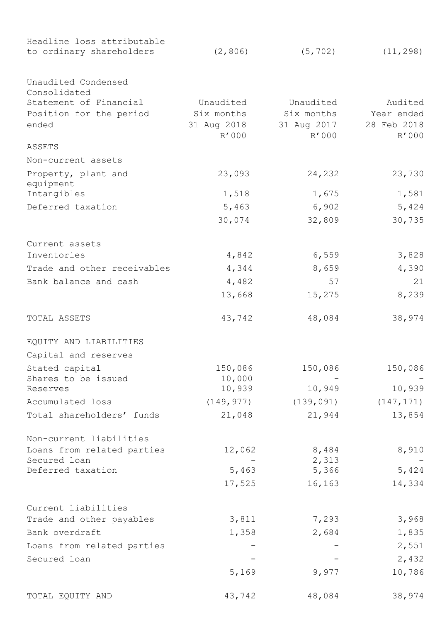| Headline loss attributable  |                      |                      |                      |  |
|-----------------------------|----------------------|----------------------|----------------------|--|
| to ordinary shareholders    | (2, 806)             | (5, 702)             | (11, 298)            |  |
| Unaudited Condensed         |                      |                      |                      |  |
| Consolidated                |                      |                      |                      |  |
| Statement of Financial      | Unaudited            | Unaudited            | Audited              |  |
| Position for the period     | Six months           | Six months           | Year ended           |  |
| ended                       | 31 Aug 2018<br>R'000 | 31 Aug 2017<br>R'000 | 28 Feb 2018<br>R'000 |  |
| ASSETS                      |                      |                      |                      |  |
| Non-current assets          |                      |                      |                      |  |
| Property, plant and         | 23,093               | 24,232               | 23,730               |  |
| equipment                   |                      |                      |                      |  |
| Intangibles                 | 1,518                | 1,675                | 1,581                |  |
| Deferred taxation           | 5,463                | 6,902                | 5,424                |  |
|                             | 30,074               | 32,809               | 30,735               |  |
| Current assets              |                      |                      |                      |  |
| Inventories                 | 4,842                | 6,559                | 3,828                |  |
| Trade and other receivables | 4,344                | 8,659                | 4,390                |  |
| Bank balance and cash       | 4,482                | 57                   | 21                   |  |
|                             | 13,668               | 15,275               | 8,239                |  |
|                             |                      |                      |                      |  |
| TOTAL ASSETS                | 43,742               | 48,084               | 38,974               |  |
| EQUITY AND LIABILITIES      |                      |                      |                      |  |
| Capital and reserves        |                      |                      |                      |  |
| Stated capital              | 150,086              | 150,086              | 150,086              |  |
| Shares to be issued         | 10,000               |                      |                      |  |
| Reserves                    | 10,939               | 10,949               | 10,939               |  |
| Accumulated loss            | (149, 977)           | (139, 091)           | (147, 171)           |  |
| Total shareholders' funds   | 21,048               | 21,944               | 13,854               |  |
| Non-current liabilities     |                      |                      |                      |  |
| Loans from related parties  | 12,062               | 8,484                | 8,910                |  |
| Secured loan                |                      | 2,313                |                      |  |
| Deferred taxation           | 5,463                | 5,366                | 5,424                |  |
|                             | 17,525               | 16,163               | 14,334               |  |
| Current liabilities         |                      |                      |                      |  |
| Trade and other payables    | 3,811                | 7,293                | 3,968                |  |
| Bank overdraft              | 1,358                | 2,684                | 1,835                |  |
| Loans from related parties  |                      |                      | 2,551                |  |
| Secured loan                |                      |                      | 2,432                |  |
|                             | 5,169                | 9,977                | 10,786               |  |
| TOTAL EQUITY AND            | 43,742               | 48,084               | 38,974               |  |
|                             |                      |                      |                      |  |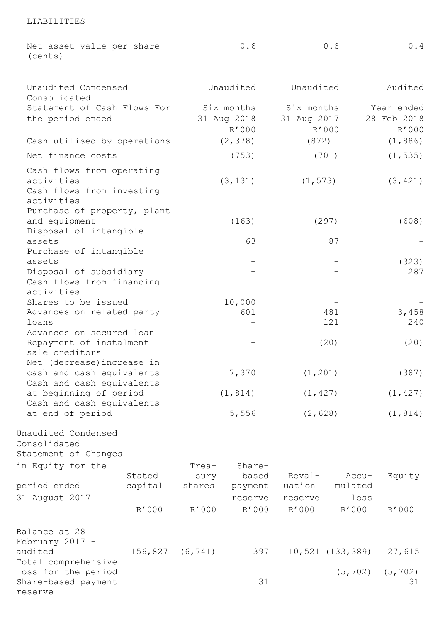| (cents)                                                                            | Net asset value per share   |               | 0.6             |             | 0.6              | 0.4            |  |
|------------------------------------------------------------------------------------|-----------------------------|---------------|-----------------|-------------|------------------|----------------|--|
| Unaudited Condensed<br>Consolidated                                                |                             | Unaudited     |                 | Unaudited   |                  | Audited        |  |
|                                                                                    | Statement of Cash Flows For |               | Six months      |             | Six months       | Year ended     |  |
| the period ended                                                                   |                             |               | 31 Aug 2018     | 31 Aug 2017 |                  | 28 Feb 2018    |  |
|                                                                                    |                             |               | R'000           | R'000       |                  | R'000          |  |
| Cash utilised by operations                                                        |                             |               | (2, 378)        | (872)       | (1, 886)         |                |  |
| Net finance costs                                                                  |                             |               | (753)           |             | (701)            | (1, 535)       |  |
| Cash flows from operating<br>activities<br>Cash flows from investing<br>activities |                             | (3, 131)      |                 | (1, 573)    |                  | (3, 421)       |  |
| Purchase of property, plant                                                        |                             |               |                 |             |                  |                |  |
| and equipment<br>Disposal of intangible                                            |                             |               | (163)           |             | (297)            | (608)          |  |
| assets                                                                             |                             |               | 63              |             | 87               |                |  |
| Purchase of intangible                                                             |                             |               |                 |             |                  |                |  |
| assets                                                                             |                             |               |                 |             |                  | (323)          |  |
| Disposal of subsidiary                                                             |                             |               |                 |             |                  | 287            |  |
| Cash flows from financing<br>activities                                            |                             |               |                 |             |                  |                |  |
| Shares to be issued                                                                |                             |               | 10,000          |             |                  |                |  |
| Advances on related party                                                          |                             |               | 601             |             | 481              | 3,458          |  |
| loans                                                                              |                             |               |                 |             | 121              | 240            |  |
| Advances on secured loan                                                           |                             |               |                 |             |                  |                |  |
| Repayment of instalment                                                            |                             |               |                 |             | (20)             | (20)           |  |
| sale creditors                                                                     |                             |               |                 |             |                  |                |  |
| Net (decrease) increase in                                                         |                             |               |                 |             |                  |                |  |
| cash and cash equivalents<br>Cash and cash equivalents                             |                             |               | 7,370           | (1, 201)    |                  | (387)          |  |
| at beginning of period                                                             |                             |               | (1, 814)        | (1, 427)    |                  | (1, 427)       |  |
| Cash and cash equivalents                                                          |                             |               |                 |             |                  |                |  |
| at end of period                                                                   |                             |               | 5,556           | (2, 628)    |                  | (1, 814)       |  |
| Unaudited Condensed<br>Consolidated<br>Statement of Changes<br>in Equity for the   | Stated                      | Trea-<br>sury | Share-<br>based | Reval-      | Accu-            | Equity         |  |
| period ended                                                                       | capital                     | shares        | payment         | uation      | mulated          |                |  |
| 31 August 2017                                                                     |                             |               | reserve         | reserve     | loss             |                |  |
|                                                                                    | R'000                       | R'000         | R'000           | R'000       | R'000            | R'000          |  |
| Balance at 28<br>February 2017 -<br>audited                                        | 156,827                     | (6, 741)      | 397             |             | 10,521 (133,389) | 27,615         |  |
| Total comprehensive<br>loss for the period<br>Share-based payment<br>reserve       |                             |               | 31              |             | (5, 702)         | (5, 702)<br>31 |  |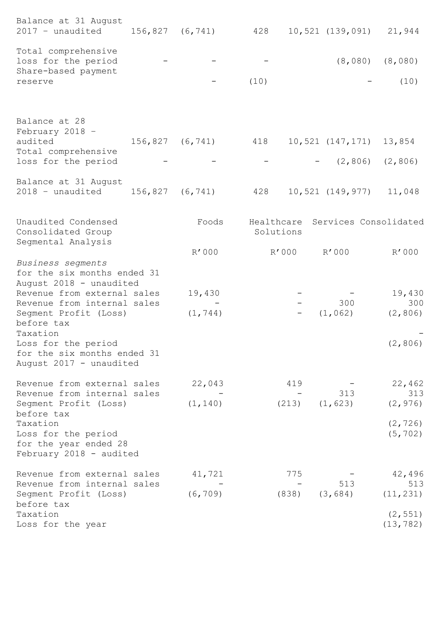| Balance at 31 August<br>2017 - unaudited                                                          | 156,827 | (6, 741)            | 428       |       | 10,521 (139,091)        | 21,944                           |
|---------------------------------------------------------------------------------------------------|---------|---------------------|-----------|-------|-------------------------|----------------------------------|
| Total comprehensive<br>loss for the period<br>Share-based payment                                 |         |                     |           |       | (8,080)                 | (8,080)                          |
| reserve                                                                                           |         |                     | (10)      |       |                         | (10)                             |
| Balance at 28<br>February 2018 -                                                                  |         |                     |           |       |                         |                                  |
| audited                                                                                           | 156,827 | (6, 741)            | 418       |       | 10,521 (147,171) 13,854 |                                  |
| Total comprehensive<br>loss for the period                                                        |         |                     |           |       | $-$ (2,806) (2,806)     |                                  |
| Balance at 31 August<br>2018 - unaudited                                                          |         | $156,827$ $(6,741)$ | 428       |       | 10,521 (149,977)        | 11,048                           |
| Unaudited Condensed<br>Consolidated Group                                                         |         | Foods               | Solutions |       |                         | Healthcare Services Consolidated |
| Segmental Analysis                                                                                |         | R'000               | R'000     |       | R'000                   | R'000                            |
| Business segments<br>for the six months ended 31<br>August 2018 - unaudited                       |         |                     |           |       |                         |                                  |
| Revenue from external sales                                                                       |         | 19,430              |           |       |                         | 19,430                           |
| Revenue from internal sales<br>Segment Profit (Loss)<br>before tax                                |         | (1, 744)            |           |       | 300<br>(1, 062)         | 300<br>(2, 806)                  |
| Taxation<br>Loss for the period<br>for the six months ended 31<br>August 2017 - unaudited         |         |                     |           |       |                         | (2, 806)                         |
| Revenue from external sales<br>Revenue from internal sales                                        |         | 22,043              |           | 419   | 313                     | 22,462<br>313                    |
| Segment Profit (Loss)                                                                             |         | (1, 140)            | (213)     |       | (1, 623)                | (2, 976)                         |
| before tax<br>Taxation<br>Loss for the period<br>for the year ended 28<br>February 2018 - audited |         |                     |           |       |                         | (2, 726)<br>(5, 702)             |
| Revenue from external sales<br>Revenue from internal sales                                        |         | 41,721              |           | 775   | 513                     | 42,496<br>513                    |
| Segment Profit (Loss)<br>before tax                                                               |         | (6, 709)            |           | (838) | (3, 684)                | (11, 231)                        |
| Taxation<br>Loss for the year                                                                     |         |                     |           |       |                         | (2, 551)<br>(13, 782)            |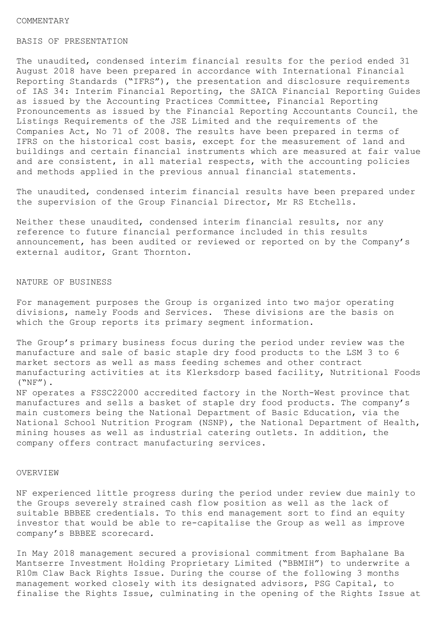#### COMMENTARY

### BASIS OF PRESENTATION

The unaudited, condensed interim financial results for the period ended 31 August 2018 have been prepared in accordance with International Financial Reporting Standards ("IFRS"), the presentation and disclosure requirements of IAS 34: Interim Financial Reporting, the SAICA Financial Reporting Guides as issued by the Accounting Practices Committee, Financial Reporting Pronouncements as issued by the Financial Reporting Accountants Council, the Listings Requirements of the JSE Limited and the requirements of the Companies Act, No 71 of 2008. The results have been prepared in terms of IFRS on the historical cost basis, except for the measurement of land and buildings and certain financial instruments which are measured at fair value and are consistent, in all material respects, with the accounting policies and methods applied in the previous annual financial statements.

The unaudited, condensed interim financial results have been prepared under the supervision of the Group Financial Director, Mr RS Etchells.

Neither these unaudited, condensed interim financial results, nor any reference to future financial performance included in this results announcement, has been audited or reviewed or reported on by the Company's external auditor, Grant Thornton.

#### NATURE OF BUSINESS

For management purposes the Group is organized into two major operating divisions, namely Foods and Services. These divisions are the basis on which the Group reports its primary segment information.

The Group's primary business focus during the period under review was the manufacture and sale of basic staple dry food products to the LSM 3 to 6 market sectors as well as mass feeding schemes and other contract manufacturing activities at its Klerksdorp based facility, Nutritional Foods  $(\text{``NF''})$ .

NF operates a FSSC22000 accredited factory in the North-West province that manufactures and sells a basket of staple dry food products. The company's main customers being the National Department of Basic Education, via the National School Nutrition Program (NSNP), the National Department of Health, mining houses as well as industrial catering outlets. In addition, the company offers contract manufacturing services.

## OVERVIEW

NF experienced little progress during the period under review due mainly to the Groups severely strained cash flow position as well as the lack of suitable BBBEE credentials. To this end management sort to find an equity investor that would be able to re-capitalise the Group as well as improve company's BBBEE scorecard.

In May 2018 management secured a provisional commitment from Baphalane Ba Mantserre Investment Holding Proprietary Limited ("BBMIH") to underwrite a R10m Claw Back Rights Issue. During the course of the following 3 months management worked closely with its designated advisors, PSG Capital, to finalise the Rights Issue, culminating in the opening of the Rights Issue at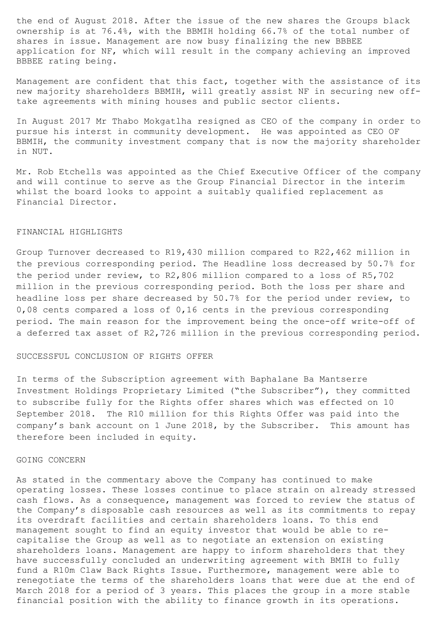the end of August 2018. After the issue of the new shares the Groups black ownership is at 76.4%, with the BBMIH holding 66.7% of the total number of shares in issue. Management are now busy finalizing the new BBBEE application for NF, which will result in the company achieving an improved BBBEE rating being.

Management are confident that this fact, together with the assistance of its new majority shareholders BBMIH, will greatly assist NF in securing new offtake agreements with mining houses and public sector clients.

In August 2017 Mr Thabo Mokgatlha resigned as CEO of the company in order to pursue his interst in community development. He was appointed as CEO OF BBMIH, the community investment company that is now the majority shareholder in NUT.

Mr. Rob Etchells was appointed as the Chief Executive Officer of the company and will continue to serve as the Group Financial Director in the interim whilst the board looks to appoint a suitably qualified replacement as Financial Director.

#### FINANCIAL HIGHLIGHTS

Group Turnover decreased to R19,430 million compared to R22,462 million in the previous corresponding period. The Headline loss decreased by 50.7% for the period under review, to R2,806 million compared to a loss of R5,702 million in the previous corresponding period. Both the loss per share and headline loss per share decreased by 50.7% for the period under review, to 0,08 cents compared a loss of 0,16 cents in the previous corresponding period. The main reason for the improvement being the once-off write-off of a deferred tax asset of R2,726 million in the previous corresponding period.

#### SUCCESSFUL CONCLUSION OF RIGHTS OFFER

In terms of the Subscription agreement with Baphalane Ba Mantserre Investment Holdings Proprietary Limited ("the Subscriber"), they committed to subscribe fully for the Rights offer shares which was effected on 10 September 2018. The R10 million for this Rights Offer was paid into the company's bank account on 1 June 2018, by the Subscriber. This amount has therefore been included in equity.

# GOING CONCERN

As stated in the commentary above the Company has continued to make operating losses. These losses continue to place strain on already stressed cash flows. As a consequence, management was forced to review the status of the Company's disposable cash resources as well as its commitments to repay its overdraft facilities and certain shareholders loans. To this end management sought to find an equity investor that would be able to recapitalise the Group as well as to negotiate an extension on existing shareholders loans. Management are happy to inform shareholders that they have successfully concluded an underwriting agreement with BMIH to fully fund a R10m Claw Back Rights Issue. Furthermore, management were able to renegotiate the terms of the shareholders loans that were due at the end of March 2018 for a period of 3 years. This places the group in a more stable financial position with the ability to finance growth in its operations.